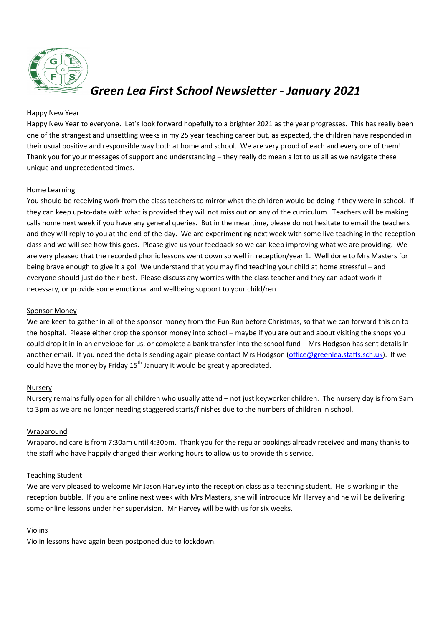

# *Green Lea First School Newsletter - January 2021*

## Happy New Year

Happy New Year to everyone. Let's look forward hopefully to a brighter 2021 as the year progresses. This has really been one of the strangest and unsettling weeks in my 25 year teaching career but, as expected, the children have responded in their usual positive and responsible way both at home and school. We are very proud of each and every one of them! Thank you for your messages of support and understanding – they really do mean a lot to us all as we navigate these unique and unprecedented times.

## Home Learning

You should be receiving work from the class teachers to mirror what the children would be doing if they were in school. If they can keep up-to-date with what is provided they will not miss out on any of the curriculum. Teachers will be making calls home next week if you have any general queries. But in the meantime, please do not hesitate to email the teachers and they will reply to you at the end of the day. We are experimenting next week with some live teaching in the reception class and we will see how this goes. Please give us your feedback so we can keep improving what we are providing. We are very pleased that the recorded phonic lessons went down so well in reception/year 1. Well done to Mrs Masters for being brave enough to give it a go! We understand that you may find teaching your child at home stressful – and everyone should just do their best. Please discuss any worries with the class teacher and they can adapt work if necessary, or provide some emotional and wellbeing support to your child/ren.

### Sponsor Money

We are keen to gather in all of the sponsor money from the Fun Run before Christmas, so that we can forward this on to the hospital. Please either drop the sponsor money into school – maybe if you are out and about visiting the shops you could drop it in in an envelope for us, or complete a bank transfer into the school fund – Mrs Hodgson has sent details in another email. If you need the details sending again please contact Mrs Hodgson [\(office@greenlea.staffs.sch.uk\)](mailto:office@greenlea.staffs.sch.uk). If we could have the money by Friday  $15<sup>th</sup>$  January it would be greatly appreciated.

#### Nursery

Nursery remains fully open for all children who usually attend – not just keyworker children. The nursery day is from 9am to 3pm as we are no longer needing staggered starts/finishes due to the numbers of children in school.

## Wraparound

Wraparound care is from 7:30am until 4:30pm. Thank you for the regular bookings already received and many thanks to the staff who have happily changed their working hours to allow us to provide this service.

## Teaching Student

We are very pleased to welcome Mr Jason Harvey into the reception class as a teaching student. He is working in the reception bubble. If you are online next week with Mrs Masters, she will introduce Mr Harvey and he will be delivering some online lessons under her supervision. Mr Harvey will be with us for six weeks.

#### Violins

Violin lessons have again been postponed due to lockdown.